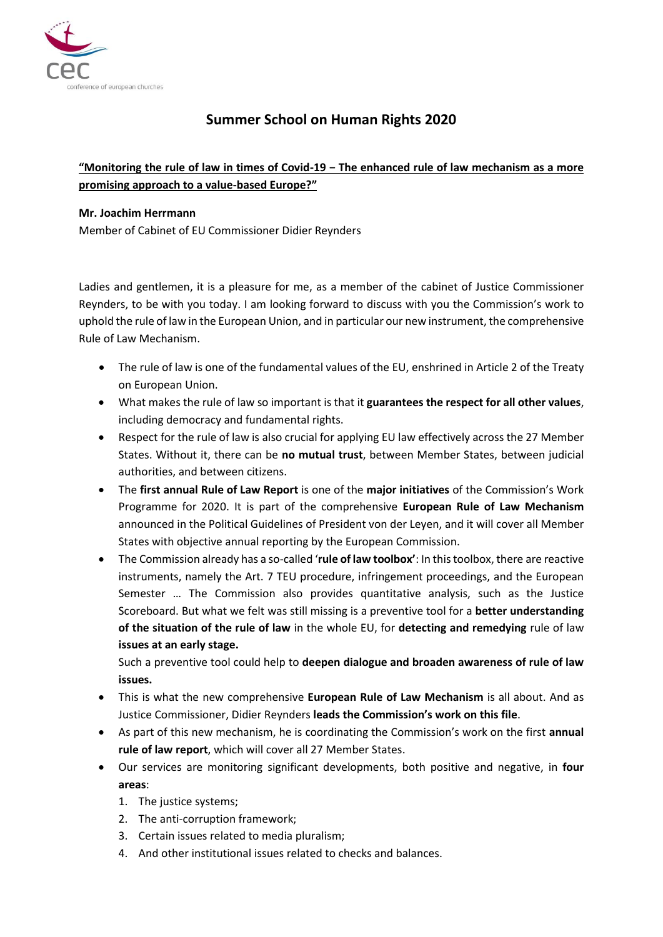

# **Summer School on Human Rights 2020**

## **"Monitoring the rule of law in times of Covid-19 − The enhanced rule of law mechanism as a more promising approach to a value-based Europe?"**

#### **Mr. Joachim Herrmann**

Member of Cabinet of EU Commissioner Didier Reynders

Ladies and gentlemen, it is a pleasure for me, as a member of the cabinet of Justice Commissioner Reynders, to be with you today. I am looking forward to discuss with you the Commission's work to uphold the rule of law in the European Union, and in particular our new instrument, the comprehensive Rule of Law Mechanism.

- The rule of law is one of the fundamental values of the EU, enshrined in Article 2 of the Treaty on European Union.
- What makes the rule of law so important is that it **guarantees the respect for all other values**, including democracy and fundamental rights.
- Respect for the rule of law is also crucial for applying EU law effectively across the 27 Member States. Without it, there can be **no mutual trust**, between Member States, between judicial authorities, and between citizens.
- The **first annual Rule of Law Report** is one of the **major initiatives** of the Commission's Work Programme for 2020. It is part of the comprehensive **European Rule of Law Mechanism** announced in the Political Guidelines of President von der Leyen, and it will cover all Member States with objective annual reporting by the European Commission.
- The Commission already has a so-called '**rule of law toolbox'**: In this toolbox, there are reactive instruments, namely the Art. 7 TEU procedure, infringement proceedings, and the European Semester … The Commission also provides quantitative analysis, such as the Justice Scoreboard. But what we felt was still missing is a preventive tool for a **better understanding of the situation of the rule of law** in the whole EU, for **detecting and remedying** rule of law **issues at an early stage.**

Such a preventive tool could help to **deepen dialogue and broaden awareness of rule of law issues.** 

- This is what the new comprehensive **European Rule of Law Mechanism** is all about. And as Justice Commissioner, Didier Reynders **leads the Commission's work on this file**.
- As part of this new mechanism, he is coordinating the Commission's work on the first **annual rule of law report**, which will cover all 27 Member States.
- Our services are monitoring significant developments, both positive and negative, in **four areas**:
	- 1. The justice systems;
	- 2. The anti-corruption framework;
	- 3. Certain issues related to media pluralism;
	- 4. And other institutional issues related to checks and balances.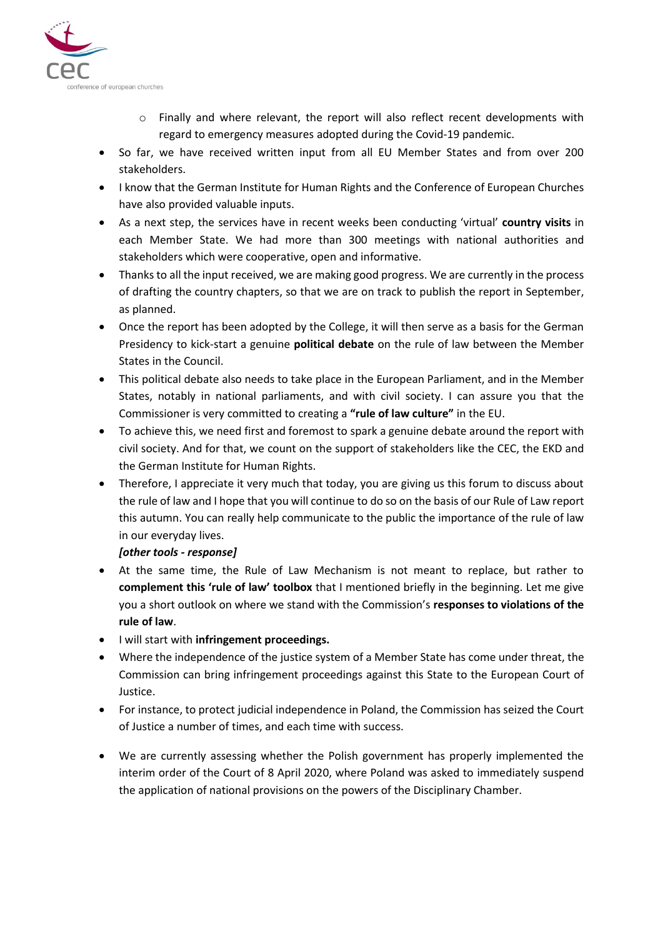

- $\circ$  Finally and where relevant, the report will also reflect recent developments with regard to emergency measures adopted during the Covid-19 pandemic.
- So far, we have received written input from all EU Member States and from over 200 stakeholders.
- I know that the German Institute for Human Rights and the Conference of European Churches have also provided valuable inputs.
- As a next step, the services have in recent weeks been conducting 'virtual' **country visits** in each Member State. We had more than 300 meetings with national authorities and stakeholders which were cooperative, open and informative.
- Thanks to all the input received, we are making good progress. We are currently in the process of drafting the country chapters, so that we are on track to publish the report in September, as planned.
- Once the report has been adopted by the College, it will then serve as a basis for the German Presidency to kick-start a genuine **political debate** on the rule of law between the Member States in the Council.
- This political debate also needs to take place in the European Parliament, and in the Member States, notably in national parliaments, and with civil society. I can assure you that the Commissioner is very committed to creating a **"rule of law culture"** in the EU.
- To achieve this, we need first and foremost to spark a genuine debate around the report with civil society. And for that, we count on the support of stakeholders like the CEC, the EKD and the German Institute for Human Rights.
- Therefore, I appreciate it very much that today, you are giving us this forum to discuss about the rule of law and I hope that you will continue to do so on the basis of our Rule of Law report this autumn. You can really help communicate to the public the importance of the rule of law in our everyday lives.

#### *[other tools - response]*

- At the same time, the Rule of Law Mechanism is not meant to replace, but rather to **complement this 'rule of law' toolbox** that I mentioned briefly in the beginning. Let me give you a short outlook on where we stand with the Commission's **responses to violations of the rule of law**.
- I will start with **infringement proceedings.**
- Where the independence of the justice system of a Member State has come under threat, the Commission can bring infringement proceedings against this State to the European Court of Justice.
- For instance, to protect judicial independence in Poland, the Commission has seized the Court of Justice a number of times, and each time with success.
- We are currently assessing whether the Polish government has properly implemented the interim order of the Court of 8 April 2020, where Poland was asked to immediately suspend the application of national provisions on the powers of the Disciplinary Chamber.